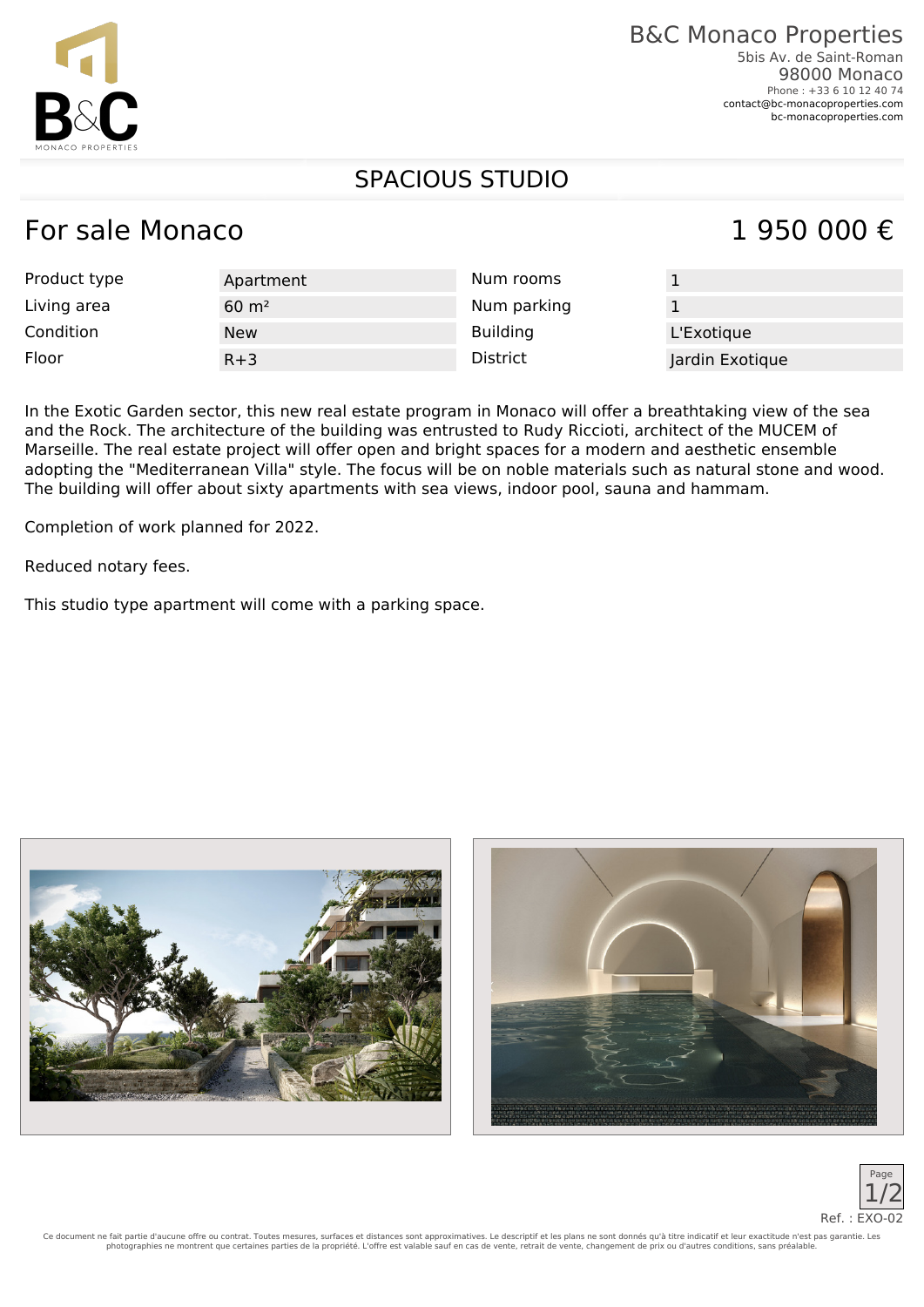### B&C Monaco Properties 5bis Av. de Saint-Roman

98000 Monaco Phone : +33 6 10 12 40 74 [contact@bc-monacoproperties.com](mailto:contact@bc-monacoproperties.com) [bc-monacoproperties.com](https://bc-monacoproperties.com)

# SPACIOUS STUDIO

# For sale Monaco  $1, 950, 000 \in$

| Product type | Apartment          | Num rooms       |                 |
|--------------|--------------------|-----------------|-----------------|
| Living area  | $60 \; \text{m}^2$ | Num parking     |                 |
| Condition    | <b>New</b>         | <b>Building</b> | L'Exotique      |
| Floor        | $R+3$              | District        | Jardin Exotique |

In the Exotic Garden sector, this new real estate program in Monaco will offer a breathtaking view of the sea and the Rock. The architecture of the building was entrusted to Rudy Riccioti, architect of the MUCEM of Marseille. The real estate project will offer open and bright spaces for a modern and aesthetic ensemble adopting the "Mediterranean Villa" style. The focus will be on noble materials such as natural stone and wood. The building will offer about sixty apartments with sea views, indoor pool, sauna and hammam.

Completion of work planned for 2022.

Reduced notary fees.

This studio type apartment will come with a parking space.







Ce document ne fait partie d'aucune offre ou contrat. Toutes mesures, surfaces et distances sont approximatives. Le descriptif et les plans ne sont donnés qu'à titre indicatif et leur exactitude n'est pas garantie. Les photographies ne montrent que certaines parties de la propriété. L'offre est valable sauf en cas de vente, retrait de vente, changement de prix ou d'autres conditions, sans préalable.